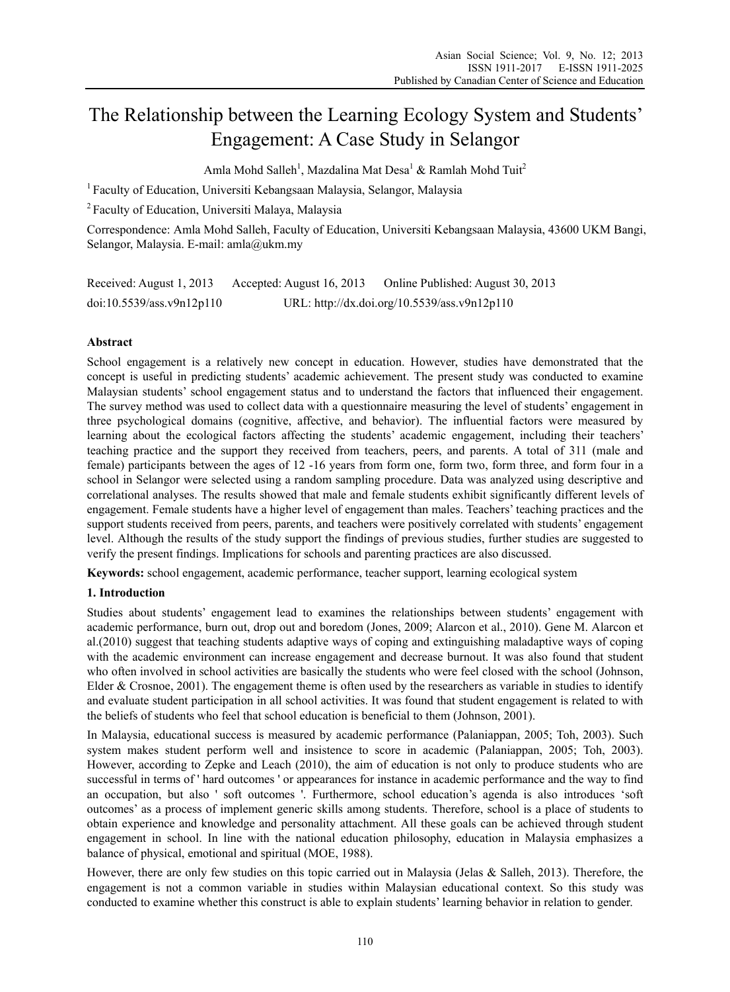# The Relationship between the Learning Ecology System and Students' Engagement: A Case Study in Selangor

Amla Mohd Salleh<sup>1</sup>, Mazdalina Mat Desa<sup>1</sup> & Ramlah Mohd Tuit<sup>2</sup>

<sup>1</sup> Faculty of Education, Universiti Kebangsaan Malaysia, Selangor, Malaysia

2 Faculty of Education, Universiti Malaya, Malaysia

Correspondence: Amla Mohd Salleh, Faculty of Education, Universiti Kebangsaan Malaysia, 43600 UKM Bangi, Selangor, Malaysia. E-mail: amla@ukm.my

Received: August 1, 2013 Accepted: August 16, 2013 Online Published: August 30, 2013 doi:10.5539/ass.v9n12p110 URL: http://dx.doi.org/10.5539/ass.v9n12p110

## **Abstract**

School engagement is a relatively new concept in education. However, studies have demonstrated that the concept is useful in predicting students' academic achievement. The present study was conducted to examine Malaysian students' school engagement status and to understand the factors that influenced their engagement. The survey method was used to collect data with a questionnaire measuring the level of students' engagement in three psychological domains (cognitive, affective, and behavior). The influential factors were measured by learning about the ecological factors affecting the students' academic engagement, including their teachers' teaching practice and the support they received from teachers, peers, and parents. A total of 311 (male and female) participants between the ages of 12 -16 years from form one, form two, form three, and form four in a school in Selangor were selected using a random sampling procedure. Data was analyzed using descriptive and correlational analyses. The results showed that male and female students exhibit significantly different levels of engagement. Female students have a higher level of engagement than males. Teachers' teaching practices and the support students received from peers, parents, and teachers were positively correlated with students' engagement level. Although the results of the study support the findings of previous studies, further studies are suggested to verify the present findings. Implications for schools and parenting practices are also discussed.

**Keywords:** school engagement, academic performance, teacher support, learning ecological system

## **1. Introduction**

Studies about students' engagement lead to examines the relationships between students' engagement with academic performance, burn out, drop out and boredom (Jones, 2009; Alarcon et al., 2010). Gene M. Alarcon et al.(2010) suggest that teaching students adaptive ways of coping and extinguishing maladaptive ways of coping with the academic environment can increase engagement and decrease burnout. It was also found that student who often involved in school activities are basically the students who were feel closed with the school (Johnson, Elder & Crosnoe, 2001). The engagement theme is often used by the researchers as variable in studies to identify and evaluate student participation in all school activities. It was found that student engagement is related to with the beliefs of students who feel that school education is beneficial to them (Johnson, 2001).

In Malaysia, educational success is measured by academic performance (Palaniappan, 2005; Toh, 2003). Such system makes student perform well and insistence to score in academic (Palaniappan, 2005; Toh, 2003). However, according to Zepke and Leach (2010), the aim of education is not only to produce students who are successful in terms of ' hard outcomes ' or appearances for instance in academic performance and the way to find an occupation, but also ' soft outcomes '. Furthermore, school education's agenda is also introduces 'soft outcomes' as a process of implement generic skills among students. Therefore, school is a place of students to obtain experience and knowledge and personality attachment. All these goals can be achieved through student engagement in school. In line with the national education philosophy, education in Malaysia emphasizes a balance of physical, emotional and spiritual (MOE, 1988).

However, there are only few studies on this topic carried out in Malaysia (Jelas & Salleh, 2013). Therefore, the engagement is not a common variable in studies within Malaysian educational context. So this study was conducted to examine whether this construct is able to explain students' learning behavior in relation to gender.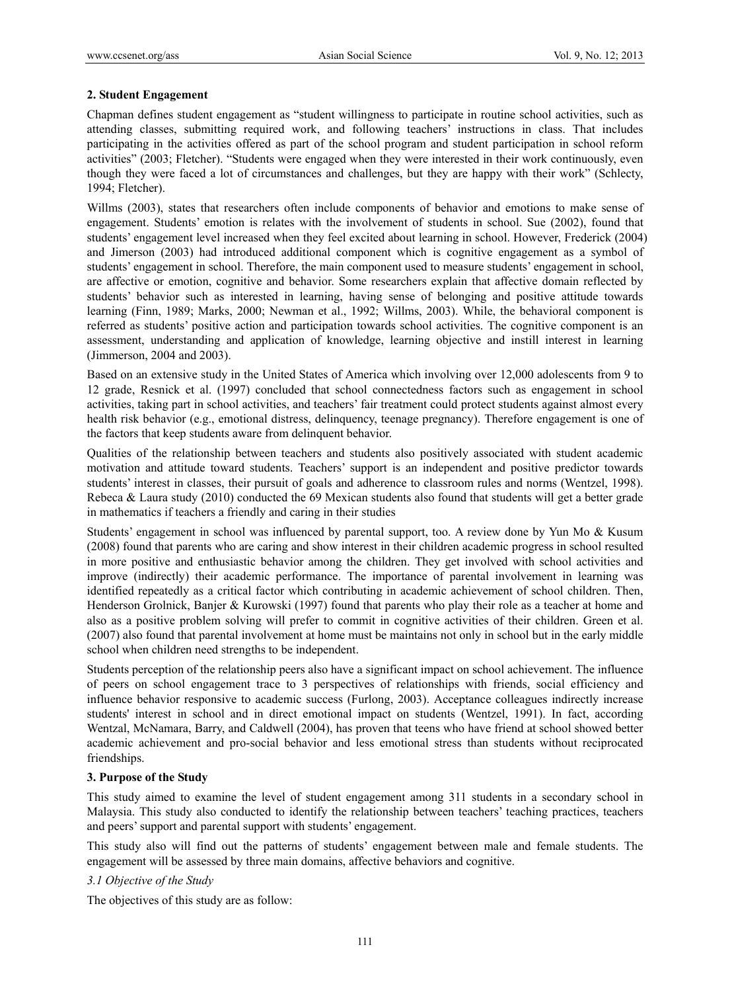## **2. Student Engagement**

Chapman defines student engagement as "student willingness to participate in routine school activities, such as attending classes, submitting required work, and following teachers' instructions in class. That includes participating in the activities offered as part of the school program and student participation in school reform activities" (2003; Fletcher). "Students were engaged when they were interested in their work continuously, even though they were faced a lot of circumstances and challenges, but they are happy with their work" (Schlecty, 1994; Fletcher).

Willms (2003), states that researchers often include components of behavior and emotions to make sense of engagement. Students' emotion is relates with the involvement of students in school. Sue (2002), found that students' engagement level increased when they feel excited about learning in school. However, Frederick (2004) and Jimerson (2003) had introduced additional component which is cognitive engagement as a symbol of students' engagement in school. Therefore, the main component used to measure students' engagement in school, are affective or emotion, cognitive and behavior. Some researchers explain that affective domain reflected by students' behavior such as interested in learning, having sense of belonging and positive attitude towards learning (Finn, 1989; Marks, 2000; Newman et al., 1992; Willms, 2003). While, the behavioral component is referred as students' positive action and participation towards school activities. The cognitive component is an assessment, understanding and application of knowledge, learning objective and instill interest in learning (Jimmerson, 2004 and 2003).

Based on an extensive study in the United States of America which involving over 12,000 adolescents from 9 to 12 grade, Resnick et al. (1997) concluded that school connectedness factors such as engagement in school activities, taking part in school activities, and teachers' fair treatment could protect students against almost every health risk behavior (e.g., emotional distress, delinquency, teenage pregnancy). Therefore engagement is one of the factors that keep students aware from delinquent behavior.

Qualities of the relationship between teachers and students also positively associated with student academic motivation and attitude toward students. Teachers' support is an independent and positive predictor towards students' interest in classes, their pursuit of goals and adherence to classroom rules and norms (Wentzel, 1998). Rebeca & Laura study (2010) conducted the 69 Mexican students also found that students will get a better grade in mathematics if teachers a friendly and caring in their studies

Students' engagement in school was influenced by parental support, too. A review done by Yun Mo & Kusum (2008) found that parents who are caring and show interest in their children academic progress in school resulted in more positive and enthusiastic behavior among the children. They get involved with school activities and improve (indirectly) their academic performance. The importance of parental involvement in learning was identified repeatedly as a critical factor which contributing in academic achievement of school children. Then, Henderson Grolnick, Banjer & Kurowski (1997) found that parents who play their role as a teacher at home and also as a positive problem solving will prefer to commit in cognitive activities of their children. Green et al. (2007) also found that parental involvement at home must be maintains not only in school but in the early middle school when children need strengths to be independent.

Students perception of the relationship peers also have a significant impact on school achievement. The influence of peers on school engagement trace to 3 perspectives of relationships with friends, social efficiency and influence behavior responsive to academic success (Furlong, 2003). Acceptance colleagues indirectly increase students' interest in school and in direct emotional impact on students (Wentzel, 1991). In fact, according Wentzal, McNamara, Barry, and Caldwell (2004), has proven that teens who have friend at school showed better academic achievement and pro-social behavior and less emotional stress than students without reciprocated friendships.

## **3. Purpose of the Study**

This study aimed to examine the level of student engagement among 311 students in a secondary school in Malaysia. This study also conducted to identify the relationship between teachers' teaching practices, teachers and peers' support and parental support with students' engagement.

This study also will find out the patterns of students' engagement between male and female students. The engagement will be assessed by three main domains, affective behaviors and cognitive.

#### *3.1 Objective of the Study*

The objectives of this study are as follow: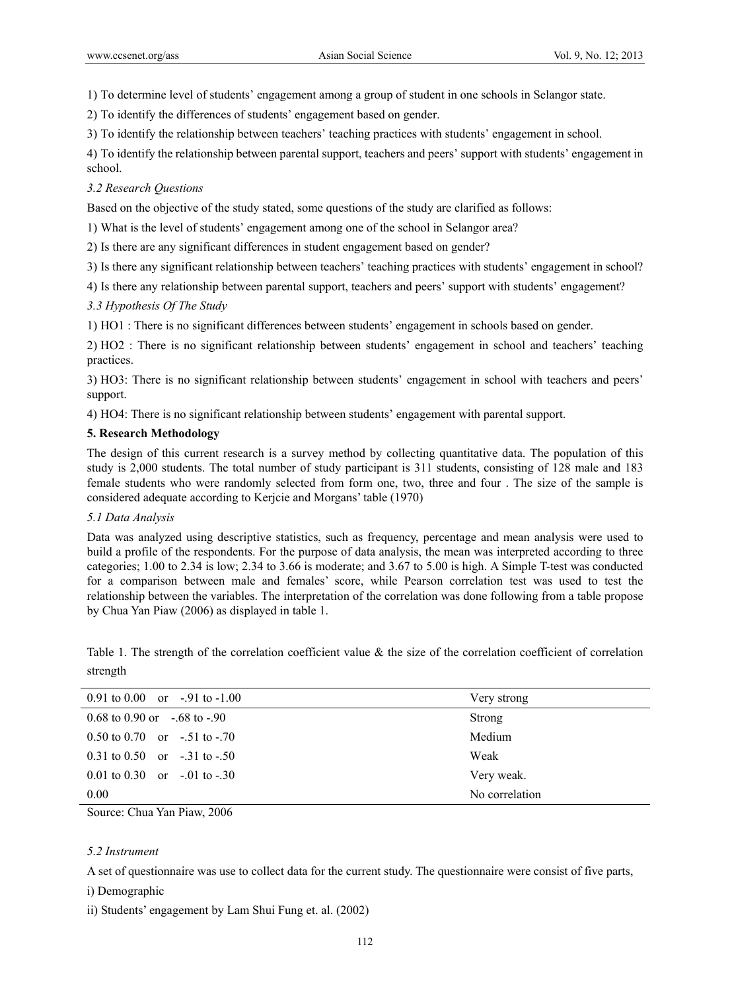1) To determine level of students' engagement among a group of student in one schools in Selangor state.

2) To identify the differences of students' engagement based on gender.

3) To identify the relationship between teachers' teaching practices with students' engagement in school.

4) To identify the relationship between parental support, teachers and peers' support with students' engagement in school.

## *3.2 Research Questions*

Based on the objective of the study stated, some questions of the study are clarified as follows:

1) What is the level of students' engagement among one of the school in Selangor area?

2) Is there are any significant differences in student engagement based on gender?

3) Is there any significant relationship between teachers' teaching practices with students' engagement in school?

4) Is there any relationship between parental support, teachers and peers' support with students' engagement?

*3.3 Hypothesis Of The Study* 

1) HO1 : There is no significant differences between students' engagement in schools based on gender.

2) HO2 : There is no significant relationship between students' engagement in school and teachers' teaching practices.

3) HO3: There is no significant relationship between students' engagement in school with teachers and peers' support.

4) HO4: There is no significant relationship between students' engagement with parental support.

## **5. Research Methodology**

The design of this current research is a survey method by collecting quantitative data. The population of this study is 2,000 students. The total number of study participant is 311 students, consisting of 128 male and 183 female students who were randomly selected from form one, two, three and four . The size of the sample is considered adequate according to Kerjcie and Morgans' table (1970)

#### *5.1 Data Analysis*

Data was analyzed using descriptive statistics, such as frequency, percentage and mean analysis were used to build a profile of the respondents. For the purpose of data analysis, the mean was interpreted according to three categories; 1.00 to 2.34 is low; 2.34 to 3.66 is moderate; and 3.67 to 5.00 is high. A Simple T-test was conducted for a comparison between male and females' score, while Pearson correlation test was used to test the relationship between the variables. The interpretation of the correlation was done following from a table propose by Chua Yan Piaw (2006) as displayed in table 1.

Table 1. The strength of the correlation coefficient value & the size of the correlation coefficient of correlation strength

| 0.91 to 0.00 or $-91$ to $-1.00$     | Very strong    |
|--------------------------------------|----------------|
| $0.68$ to $0.90$ or $-.68$ to $-.90$ | <b>Strong</b>  |
| $0.50$ to $0.70$ or $-.51$ to $-.70$ | Medium         |
| $0.31$ to $0.50$ or $-.31$ to $-.50$ | Weak           |
| $0.01$ to $0.30$ or $-.01$ to $-.30$ | Very weak.     |
| $0.00\,$                             | No correlation |

Source: Chua Yan Piaw, 2006

## *5.2 Instrument*

A set of questionnaire was use to collect data for the current study. The questionnaire were consist of five parts,

i) Demographic

ii) Students' engagement by Lam Shui Fung et. al. (2002)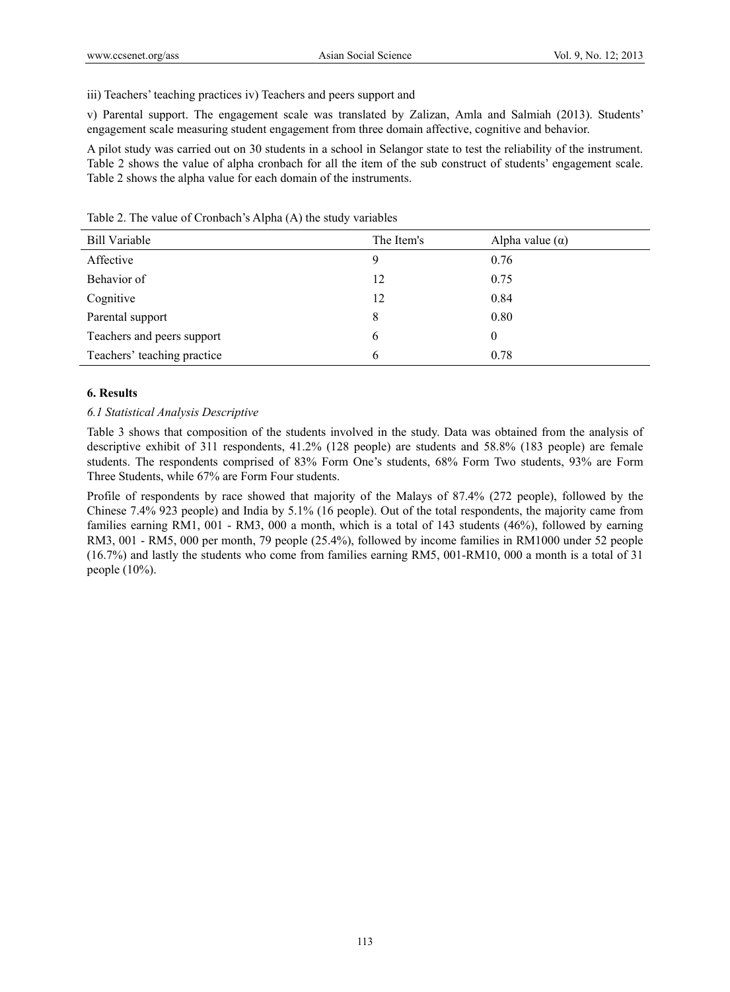#### iii) Teachers' teaching practices iv) Teachers and peers support and

v) Parental support. The engagement scale was translated by Zalizan, Amla and Salmiah (2013). Students' engagement scale measuring student engagement from three domain affective, cognitive and behavior.

A pilot study was carried out on 30 students in a school in Selangor state to test the reliability of the instrument. Table 2 shows the value of alpha cronbach for all the item of the sub construct of students' engagement scale. Table 2 shows the alpha value for each domain of the instruments.

| <b>Bill Variable</b>        | The Item's | Alpha value $(\alpha)$ |
|-----------------------------|------------|------------------------|
| Affective                   | 9          | 0.76                   |
| Behavior of                 | 12         | 0.75                   |
| Cognitive                   | 12         | 0.84                   |
| Parental support            | 8          | 0.80                   |
| Teachers and peers support  | 6          | $\theta$               |
| Teachers' teaching practice | 6          | 0.78                   |

Table 2. The value of Cronbach's Alpha (Α) the study variables

#### **6. Results**

#### *6.1 Statistical Analysis Descriptive*

Table 3 shows that composition of the students involved in the study. Data was obtained from the analysis of descriptive exhibit of 311 respondents, 41.2% (128 people) are students and 58.8% (183 people) are female students. The respondents comprised of 83% Form One's students, 68% Form Two students, 93% are Form Three Students, while 67% are Form Four students.

Profile of respondents by race showed that majority of the Malays of 87.4% (272 people), followed by the Chinese 7.4% 923 people) and India by 5.1% (16 people). Out of the total respondents, the majority came from families earning RM1, 001 - RM3, 000 a month, which is a total of 143 students (46%), followed by earning RM3, 001 - RM5, 000 per month, 79 people (25.4%), followed by income families in RM1000 under 52 people (16.7%) and lastly the students who come from families earning RM5, 001-RM10, 000 a month is a total of 31 people (10%).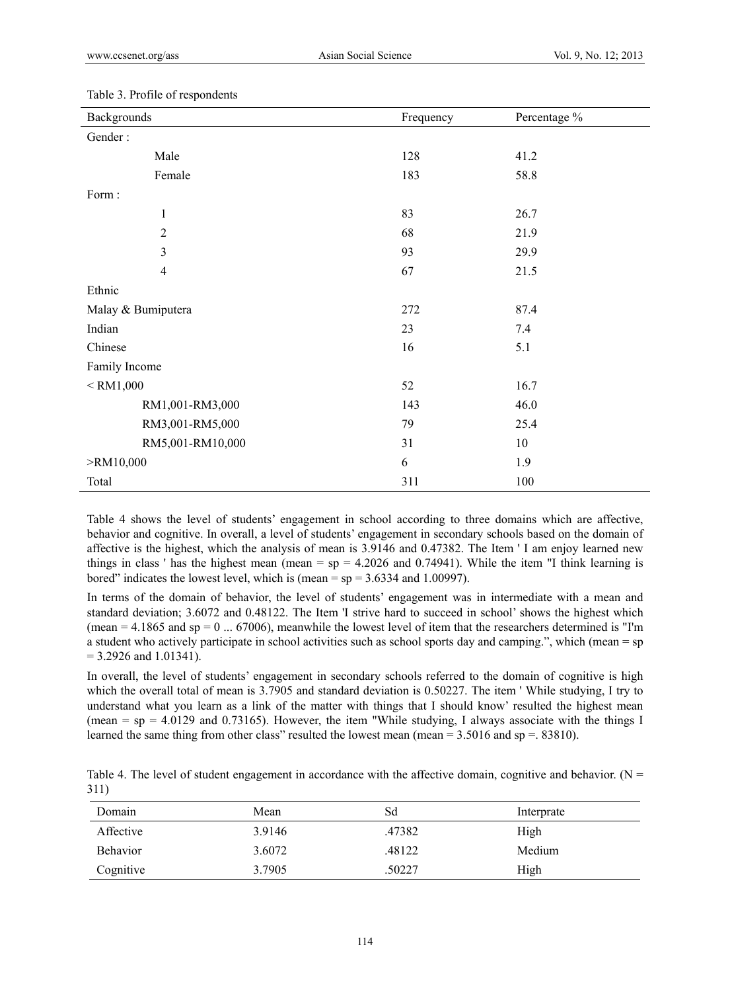| Backgrounds   |                    | Frequency | Percentage % |
|---------------|--------------------|-----------|--------------|
| Gender:       |                    |           |              |
|               | Male               | 128       | 41.2         |
|               | Female             | 183       | 58.8         |
| Form:         |                    |           |              |
|               | $\mathbf{1}$       | 83        | 26.7         |
|               | $\sqrt{2}$         | 68        | 21.9         |
|               | 3                  | 93        | 29.9         |
|               | $\overline{4}$     | 67        | 21.5         |
| Ethnic        |                    |           |              |
|               | Malay & Bumiputera | 272       | 87.4         |
| Indian        |                    | 23        | 7.4          |
| Chinese       |                    | 16        | 5.1          |
| Family Income |                    |           |              |
| $<$ RM1,000   |                    | 52        | 16.7         |
|               | RM1,001-RM3,000    | 143       | 46.0         |
|               | RM3,001-RM5,000    | 79        | 25.4         |
|               | RM5,001-RM10,000   | 31        | 10           |
| $>$ RM10,000  |                    | 6         | 1.9          |
| Total         |                    | 311       | 100          |

#### Table 3. Profile of respondents

Table 4 shows the level of students' engagement in school according to three domains which are affective, behavior and cognitive. In overall, a level of students' engagement in secondary schools based on the domain of affective is the highest, which the analysis of mean is 3.9146 and 0.47382. The Item ' I am enjoy learned new things in class ' has the highest mean (mean =  $sp = 4.2026$  and 0.74941). While the item "I think learning is bored" indicates the lowest level, which is (mean  $=$  sp  $=$  3.6334 and 1.00997).

In terms of the domain of behavior, the level of students' engagement was in intermediate with a mean and standard deviation; 3.6072 and 0.48122. The Item 'I strive hard to succeed in school' shows the highest which (mean  $= 4.1865$  and sp  $= 0$  ... 67006), meanwhile the lowest level of item that the researchers determined is "I'm a student who actively participate in school activities such as school sports day and camping.", which (mean = sp  $= 3.2926$  and 1.01341).

In overall, the level of students' engagement in secondary schools referred to the domain of cognitive is high which the overall total of mean is 3.7905 and standard deviation is 0.50227. The item ' While studying, I try to understand what you learn as a link of the matter with things that I should know' resulted the highest mean (mean  $=$  sp  $=$  4.0129 and 0.73165). However, the item "While studying, I always associate with the things I learned the same thing from other class" resulted the lowest mean (mean = 3.5016 and sp =. 83810).

|      |  | Table 4. The level of student engagement in accordance with the affective domain, cognitive and behavior. ( $N =$ |  |  |  |  |  |
|------|--|-------------------------------------------------------------------------------------------------------------------|--|--|--|--|--|
| 311) |  |                                                                                                                   |  |  |  |  |  |

| Domain          | Mean   | Sd     | Interprate |
|-----------------|--------|--------|------------|
| Affective       | 3.9146 | .47382 | High       |
| <b>Behavior</b> | 3.6072 | .48122 | Medium     |
| Cognitive       | 3.7905 | 50227  | High       |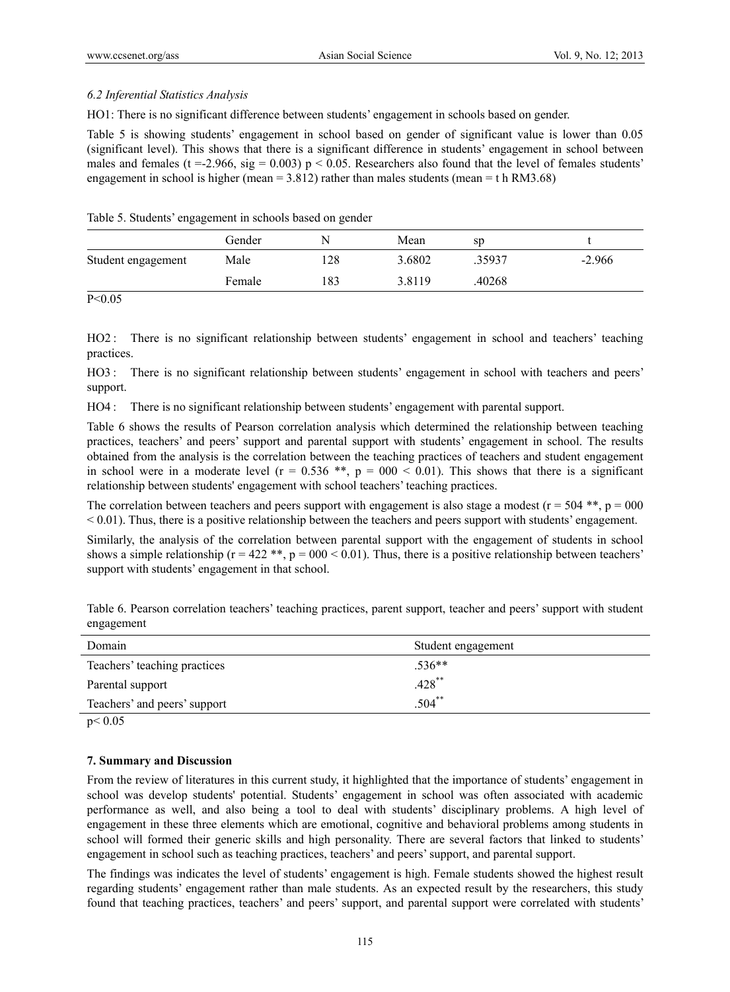### *6.2 Inferential Statistics Analysis*

HO1: There is no significant difference between students' engagement in schools based on gender.

Table 5 is showing students' engagement in school based on gender of significant value is lower than 0.05 (significant level). This shows that there is a significant difference in students' engagement in school between males and females (t = -2.966, sig = 0.003) p < 0.05. Researchers also found that the level of females students' engagement in school is higher (mean =  $3.812$ ) rather than males students (mean = t h RM3.68)

| Table 5. Students' engagement in schools based on gender |  |  |  |  |  |
|----------------------------------------------------------|--|--|--|--|--|
|----------------------------------------------------------|--|--|--|--|--|

|                    | Gender | N   | Mean   | sp     |          |
|--------------------|--------|-----|--------|--------|----------|
| Student engagement | Male   | 128 | 3.6802 | 35937  | $-2.966$ |
|                    | Female | 183 | 3.8119 | .40268 |          |

 $P < 0.05$ 

HO2 : There is no significant relationship between students' engagement in school and teachers' teaching practices.

HO3 : There is no significant relationship between students' engagement in school with teachers and peers' support.

HO4 : There is no significant relationship between students' engagement with parental support.

Table 6 shows the results of Pearson correlation analysis which determined the relationship between teaching practices, teachers' and peers' support and parental support with students' engagement in school. The results obtained from the analysis is the correlation between the teaching practices of teachers and student engagement in school were in a moderate level ( $r = 0.536$  \*\*,  $p = 000 < 0.01$ ). This shows that there is a significant relationship between students' engagement with school teachers' teaching practices.

The correlation between teachers and peers support with engagement is also stage a modest ( $r = 504$  \*\*,  $p = 000$ ) < 0.01). Thus, there is a positive relationship between the teachers and peers support with students' engagement.

Similarly, the analysis of the correlation between parental support with the engagement of students in school shows a simple relationship ( $r = 422$  \*\*,  $p = 000 < 0.01$ ). Thus, there is a positive relationship between teachers' support with students' engagement in that school.

|            |  |  | Table 6. Pearson correlation teachers' teaching practices, parent support, teacher and peers' support with student |
|------------|--|--|--------------------------------------------------------------------------------------------------------------------|
| engagement |  |  |                                                                                                                    |
|            |  |  |                                                                                                                    |

| Domain                       | Student engagement |
|------------------------------|--------------------|
| Teachers' teaching practices | $.536**$           |
| Parental support             | $.428$ **          |
| Teachers' and peers' support | $.504$ **          |
| p < 0.05                     |                    |

## **7. Summary and Discussion**

From the review of literatures in this current study, it highlighted that the importance of students' engagement in school was develop students' potential. Students' engagement in school was often associated with academic performance as well, and also being a tool to deal with students' disciplinary problems. A high level of engagement in these three elements which are emotional, cognitive and behavioral problems among students in school will formed their generic skills and high personality. There are several factors that linked to students' engagement in school such as teaching practices, teachers' and peers' support, and parental support.

The findings was indicates the level of students' engagement is high. Female students showed the highest result regarding students' engagement rather than male students. As an expected result by the researchers, this study found that teaching practices, teachers' and peers' support, and parental support were correlated with students'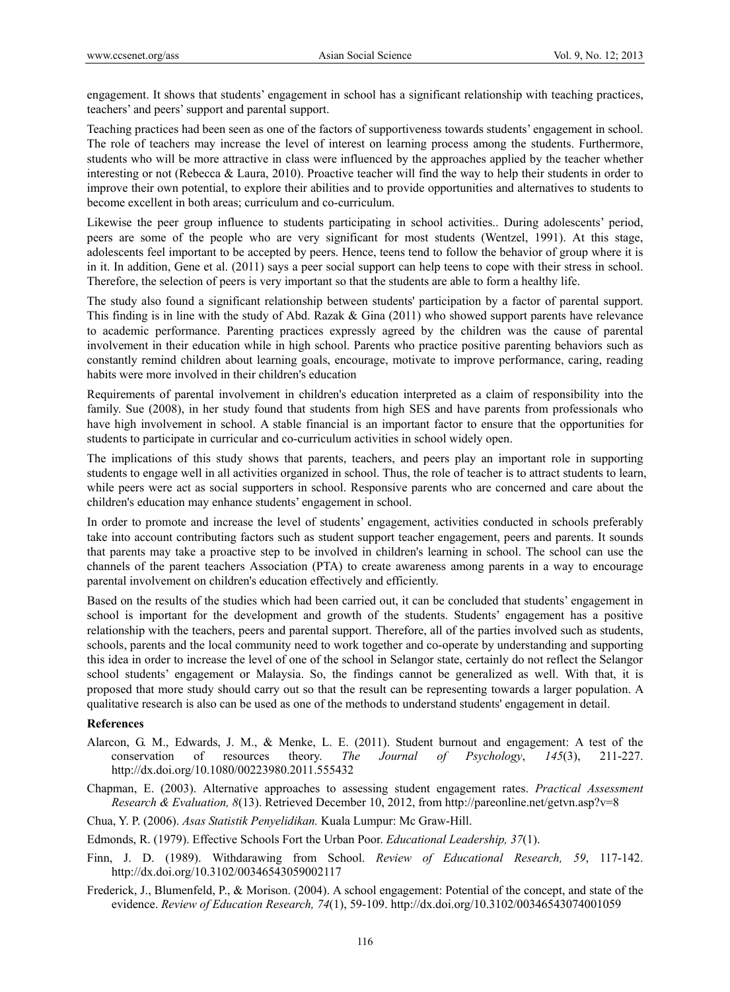engagement. It shows that students' engagement in school has a significant relationship with teaching practices, teachers' and peers' support and parental support.

Teaching practices had been seen as one of the factors of supportiveness towards students' engagement in school. The role of teachers may increase the level of interest on learning process among the students. Furthermore, students who will be more attractive in class were influenced by the approaches applied by the teacher whether interesting or not (Rebecca & Laura, 2010). Proactive teacher will find the way to help their students in order to improve their own potential, to explore their abilities and to provide opportunities and alternatives to students to become excellent in both areas; curriculum and co-curriculum.

Likewise the peer group influence to students participating in school activities.. During adolescents' period, peers are some of the people who are very significant for most students (Wentzel, 1991). At this stage, adolescents feel important to be accepted by peers. Hence, teens tend to follow the behavior of group where it is in it. In addition, Gene et al. (2011) says a peer social support can help teens to cope with their stress in school. Therefore, the selection of peers is very important so that the students are able to form a healthy life.

The study also found a significant relationship between students' participation by a factor of parental support. This finding is in line with the study of Abd. Razak & Gina (2011) who showed support parents have relevance to academic performance. Parenting practices expressly agreed by the children was the cause of parental involvement in their education while in high school. Parents who practice positive parenting behaviors such as constantly remind children about learning goals, encourage, motivate to improve performance, caring, reading habits were more involved in their children's education

Requirements of parental involvement in children's education interpreted as a claim of responsibility into the family. Sue (2008), in her study found that students from high SES and have parents from professionals who have high involvement in school. A stable financial is an important factor to ensure that the opportunities for students to participate in curricular and co-curriculum activities in school widely open.

The implications of this study shows that parents, teachers, and peers play an important role in supporting students to engage well in all activities organized in school. Thus, the role of teacher is to attract students to learn, while peers were act as social supporters in school. Responsive parents who are concerned and care about the children's education may enhance students' engagement in school.

In order to promote and increase the level of students' engagement, activities conducted in schools preferably take into account contributing factors such as student support teacher engagement, peers and parents. It sounds that parents may take a proactive step to be involved in children's learning in school. The school can use the channels of the parent teachers Association (PTA) to create awareness among parents in a way to encourage parental involvement on children's education effectively and efficiently.

Based on the results of the studies which had been carried out, it can be concluded that students' engagement in school is important for the development and growth of the students. Students' engagement has a positive relationship with the teachers, peers and parental support. Therefore, all of the parties involved such as students, schools, parents and the local community need to work together and co-operate by understanding and supporting this idea in order to increase the level of one of the school in Selangor state, certainly do not reflect the Selangor school students' engagement or Malaysia. So, the findings cannot be generalized as well. With that, it is proposed that more study should carry out so that the result can be representing towards a larger population. A qualitative research is also can be used as one of the methods to understand students' engagement in detail.

#### **References**

- Alarcon, G. M., Edwards, J. M., & Menke, L. E. (2011). Student burnout and engagement: A test of the conservation of resources theory. *The Journal of Psychology*, *145*(3), 211-227. http://dx.doi.org/10.1080/00223980.2011.555432
- Chapman, E. (2003). Alternative approaches to assessing student engagement rates. *Practical Assessment Research & Evaluation, 8*(13). Retrieved December 10, 2012, from http://pareonline.net/getvn.asp?v=8
- Chua, Y. P. (2006). *Asas Statistik Penyelidikan.* Kuala Lumpur: Mc Graw-Hill.
- Edmonds, R. (1979). Effective Schools Fort the Urban Poor. *Educational Leadership, 37*(1).
- Finn, J. D. (1989). Withdarawing from School. *Review of Educational Research, 59*, 117-142. http://dx.doi.org/10.3102/00346543059002117
- Frederick, J., Blumenfeld, P., & Morison. (2004). A school engagement: Potential of the concept, and state of the evidence. *Review of Education Research, 74*(1), 59-109. http://dx.doi.org/10.3102/00346543074001059